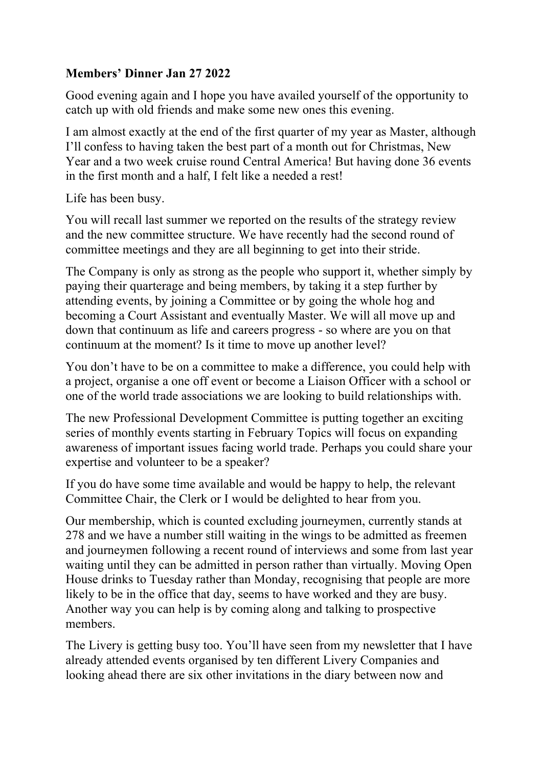## **Members' Dinner Jan 27 2022**

Good evening again and I hope you have availed yourself of the opportunity to catch up with old friends and make some new ones this evening.

I am almost exactly at the end of the first quarter of my year as Master, although I'll confess to having taken the best part of a month out for Christmas, New Year and a two week cruise round Central America! But having done 36 events in the first month and a half, I felt like a needed a rest!

Life has been busy.

You will recall last summer we reported on the results of the strategy review and the new committee structure. We have recently had the second round of committee meetings and they are all beginning to get into their stride.

The Company is only as strong as the people who support it, whether simply by paying their quarterage and being members, by taking it a step further by attending events, by joining a Committee or by going the whole hog and becoming a Court Assistant and eventually Master. We will all move up and down that continuum as life and careers progress - so where are you on that continuum at the moment? Is it time to move up another level?

You don't have to be on a committee to make a difference, you could help with a project, organise a one off event or become a Liaison Officer with a school or one of the world trade associations we are looking to build relationships with.

The new Professional Development Committee is putting together an exciting series of monthly events starting in February Topics will focus on expanding awareness of important issues facing world trade. Perhaps you could share your expertise and volunteer to be a speaker?

If you do have some time available and would be happy to help, the relevant Committee Chair, the Clerk or I would be delighted to hear from you.

Our membership, which is counted excluding journeymen, currently stands at 278 and we have a number still waiting in the wings to be admitted as freemen and journeymen following a recent round of interviews and some from last year waiting until they can be admitted in person rather than virtually. Moving Open House drinks to Tuesday rather than Monday, recognising that people are more likely to be in the office that day, seems to have worked and they are busy. Another way you can help is by coming along and talking to prospective members.

The Livery is getting busy too. You'll have seen from my newsletter that I have already attended events organised by ten different Livery Companies and looking ahead there are six other invitations in the diary between now and